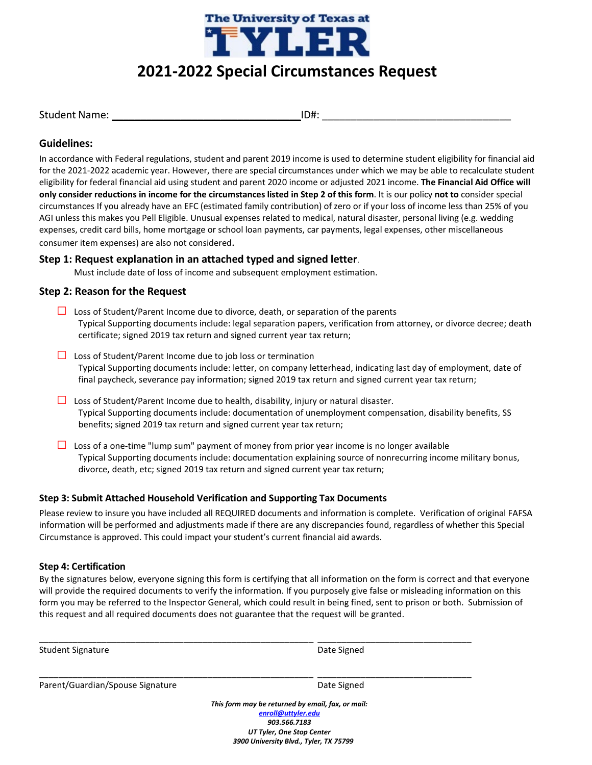

# **2021-2022 Special Circumstances Request**

|  |  |  | <b>Student Name:</b> |  |
|--|--|--|----------------------|--|
|  |  |  |                      |  |

 $ID#:$ 

# **Guidelines:**

In accordance with Federal regulations, student and parent 2019 income is used to determine student eligibility for financial aid for the 2021-2022 academic year. However, there are special circumstances under which we may be able to recalculate student eligibility for federal financial aid using student and parent 2020 income or adjusted 2021 income. **The Financial Aid Office will only consider reductions in income for the circumstances listed in Step 2 of this form**. It is our policy **not to** consider special circumstances If you already have an EFC (estimated family contribution) of zero or if your loss of income less than 25% of you AGI unless this makes you Pell Eligible. Unusual expenses related to medical, natural disaster, personal living (e.g. wedding expenses, credit card bills, home mortgage or school loan payments, car payments, legal expenses, other miscellaneous consumer item expenses) are also not considered.

# **Step 1: Request explanation in an attached typed and signed letter**.

Must include date of loss of income and subsequent employment estimation.

# **Step 2: Reason for the Request**

- **□** Loss of Student/Parent Income due to divorce, death, or separation of the parents Typical Supporting documents include: legal separation papers, verification from attorney, or divorce decree; death certificate; signed 2019 tax return and signed current year tax return;
- **□** Loss of Student/Parent Income due to job loss or termination Typical Supporting documents include: letter, on company letterhead, indicating last day of employment, date of final paycheck, severance pay information; signed 2019 tax return and signed current year tax return;
- **□** Loss of Student/Parent Income due to health, disability, injury or natural disaster. Typical Supporting documents include: documentation of unemployment compensation, disability benefits, SS benefits; signed 2019 tax return and signed current year tax return;
- **□** Loss of a one-time "lump sum" payment of money from prior year income is no longer available Typical Supporting documents include: documentation explaining source of nonrecurring income military bonus, divorce, death, etc; signed 2019 tax return and signed current year tax return;

## **Step 3: Submit Attached Household Verification and Supporting Tax Documents**

Please review to insure you have included all REQUIRED documents and information is complete. Verification of original FAFSA information will be performed and adjustments made if there are any discrepancies found, regardless of whether this Special Circumstance is approved. This could impact your student's current financial aid awards.

## **Step 4: Certification**

By the signatures below, everyone signing this form is certifying that all information on the form is correct and that everyone will provide the required documents to verify the information. If you purposely give false or misleading information on this form you may be referred to the Inspector General, which could result in being fined, sent to prison or both. Submission of this request and all required documents does not guarantee that the request will be granted.

\_\_\_\_\_\_\_\_\_\_\_\_\_\_\_\_\_\_\_\_\_\_\_\_\_\_\_\_\_\_\_\_\_\_\_\_\_\_\_\_\_\_\_\_\_\_\_\_\_\_\_\_\_\_\_\_\_ \_\_\_\_\_\_\_\_\_\_\_\_\_\_\_\_\_\_\_\_\_\_\_\_\_\_\_\_\_\_\_\_

\_\_\_\_\_\_\_\_\_\_\_\_\_\_\_\_\_\_\_\_\_\_\_\_\_\_\_\_\_\_\_\_\_\_\_\_\_\_\_\_\_\_\_\_\_\_\_\_\_\_\_\_\_\_\_\_\_ \_\_\_\_\_\_\_\_\_\_\_\_\_\_\_\_\_\_\_\_\_\_\_\_\_\_\_\_\_\_\_\_

| Student Signature |
|-------------------|
|                   |

Date Signed

Parent/Guardian/Spouse Signature data and the Date Signed

*This form may be returned by email, fax, or mail: [enroll@uttyler.edu](mailto:enroll@uttyler.edu) 903.566.7183 UT Tyler, One Stop Center 3900 University Blvd., Tyler, TX 75799*